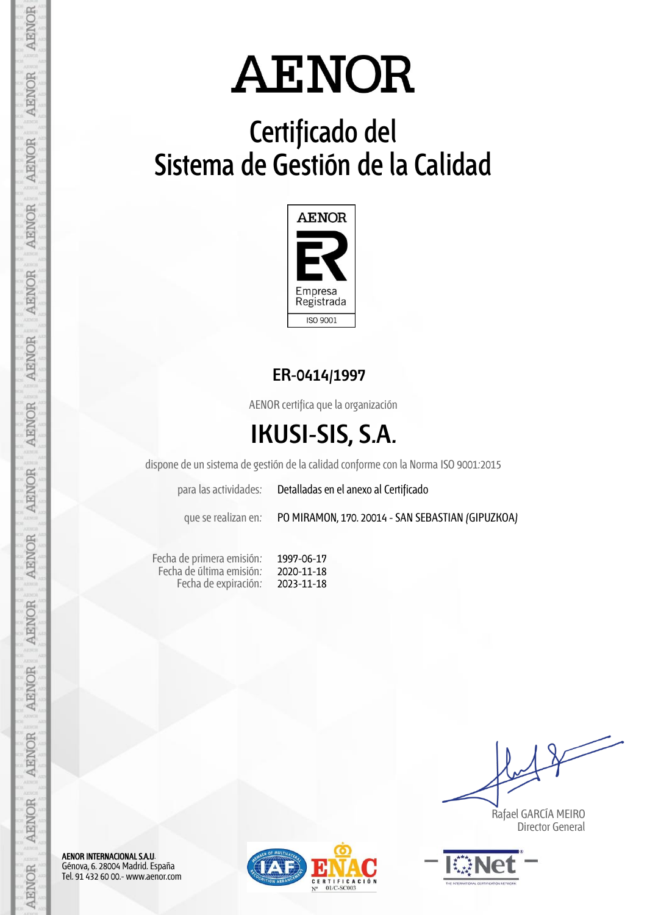# **Certificado del Sistema de Gestión de la Calidad**



## **ER-0414/1997**

AENOR certifica que la organización

# **IKUSI-SIS, S.A.**

dispone de un sistema de gestión de la calidad conforme con la Norma ISO 9001:2015

para las actividades: Detalladas en el anexo al Certificado

que se realizan en: PO MIRAMON, 170. 20014 - SAN SEBASTIAN (GIPUZKOA)

Fecha de primera emisión: Fecha de última emisión: Fecha de expiración:

1997-06-17 2020-11-18 2023-11-18

 Rafael GARCÍA MEIRO Director General



AENOR INTERNACIONAL S.A.U. Génova, 6. 28004 Madrid. España Tel. 91 432 60 00.- www.aenor.com

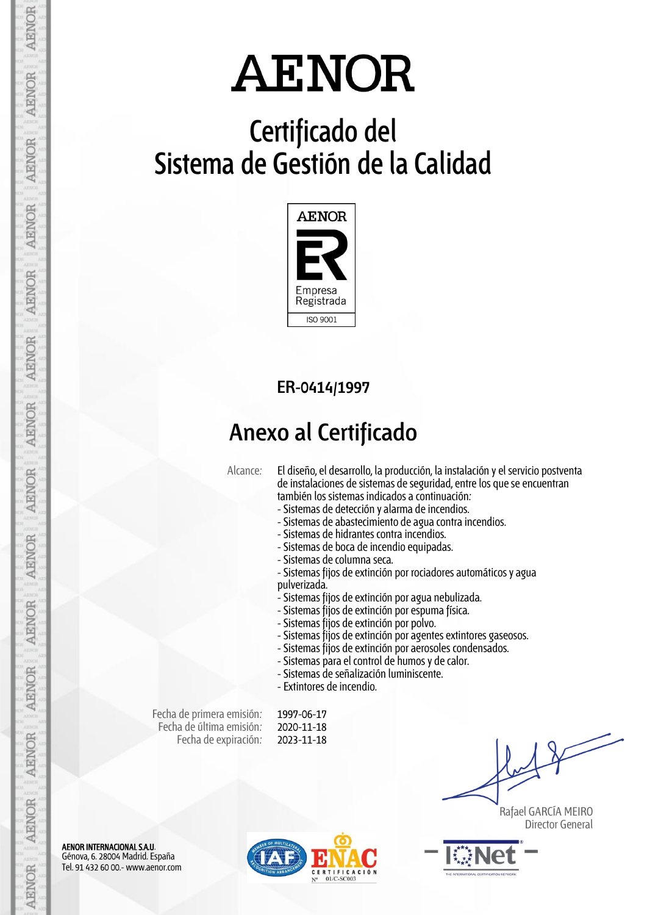# **Certificado del Sistema de Gestión de la Calidad**



## **ER-0414/1997**

## **Anexo al Certificado**

Alcance: El diseño, el desarrollo, la producción, la instalación y el servicio postventa de instalaciones de sistemas de seguridad, entre los que se encuentran también los sistemas indicados a continuación:

- Sistemas de detección y alarma de incendios.
- Sistemas de abastecimiento de agua contra incendios.
- Sistemas de hidrantes contra incendios.
- Sistemas de boca de incendio equipadas.
- Sistemas de columna seca.
- Sistemas fijos de extinción por rociadores automáticos y agua pulverizada.
- Sistemas fijos de extinción por agua nebulizada.
- Sistemas fijos de extinción por espuma física.
- Sistemas fijos de extinción por polvo.
- Sistemas fijos de extinción por agentes extintores gaseosos.
- Sistemas fijos de extinción por aerosoles condensados.
- Sistemas para el control de humos y de calor.
- Sistemas de señalización luminiscente.
- Extintores de incendio.

Fecha de primera emisión: Fecha de última emisión: Fecha de expiración:

1997-06-17 2020-11-18 2023-11-18

 Rafael GARCÍA MEIRO Director General



AENOR

**AENOR** 

**AENOR** 

**AENOR** 

**AENOR** 

**AENOR** 

**AENOR** 

**AENOR** 

**AENOR** 

AENOR

**AENOR** 

**AENOR** 

**AENOR** 

**AENOR** 

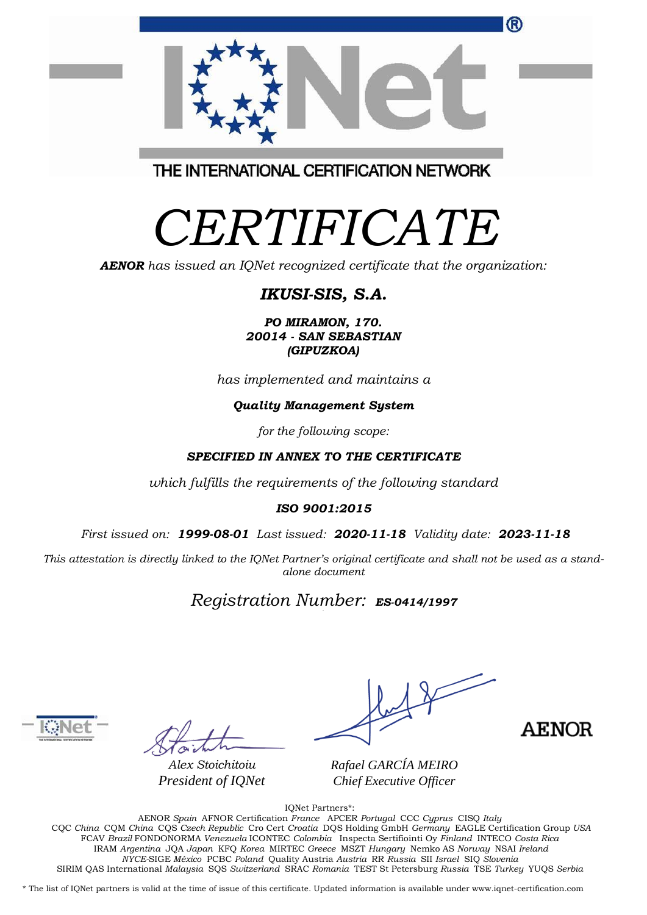|                                         | <sup>(R)</sup> |
|-----------------------------------------|----------------|
|                                         |                |
| THE INTERNATIONAL CERTIFICATION NETWORK |                |

# *CERTIFICATE*

*AENOR has issued an IQNet recognized certificate that the organization:*

## *IKUSI-SIS, S.A.*

*PO MIRAMON, 170. 20014 - SAN SEBASTIAN (GIPUZKOA)*

*has implemented and maintains a*

### *Quality Management System*

*for the following scope:* 

### *SPECIFIED IN ANNEX TO THE CERTIFICATE*

*which fulfills the requirements of the following standard*

#### *ISO 9001:2015*

*First issued on: 1999-08-01 Last issued: 2020-11-18 Validity date: 2023-11-18*

This attestation is directly linked to the IQNet Partner's original certificate and shall not be used as a stand*alone document*

### *Registration Number: ES-0414/1997*



*Alex Stoichitoiu President of IQNet*

**AENOR** 

*Rafael GARCÍA MEIRO Chief Executive Officer*

IQNet Partners\*:

AENOR *Spain* AFNOR Certification *France* APCER *Portugal* CCC *Cyprus* CISQ *Italy* CQC *China* CQM *China* CQS *Czech Republic* Cro Cert *Croatia* DQS Holding GmbH *Germany* EAGLE Certification Group *USA* FCAV *Brazil* FONDONORMA *Venezuela* ICONTEC *Colombia* Inspecta Sertifiointi Oy *Finland* INTECO *Costa Rica* IRAM *Argentina* JQA *Japan* KFQ *Korea* MIRTEC *Greece* MSZT *Hungary* Nemko AS *Norway* NSAI *Ireland NYCE-*SIGE *México* PCBC *Poland* Quality Austria *Austria* RR *Russia* SII *Israel* SIQ *Slovenia*  SIRIM QAS International *Malaysia* SQS *Switzerland* SRAC *Romania* TEST St Petersburg *Russia* TSE *Turkey* YUQS *Serbia*

\* The list of IQNet partners is valid at the time of issue of this certificate. Updated information is available under www.iqnet-certification.com